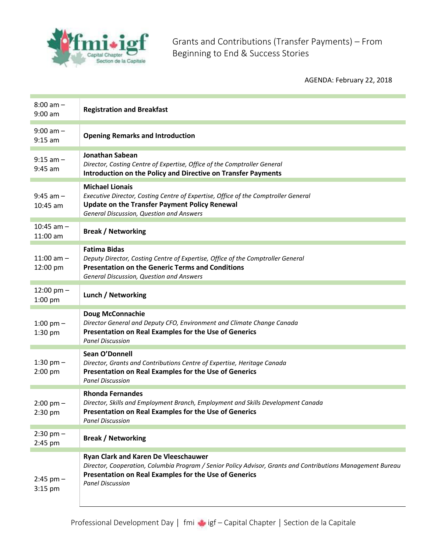

Grants and Contributions (Transfer Payments) – From Beginning to End & Success Stories

AGENDA: February 22, 2018

| $8:00$ am $-$<br>$9:00$ am        | <b>Registration and Breakfast</b>                                                                                                                                                                                                              |
|-----------------------------------|------------------------------------------------------------------------------------------------------------------------------------------------------------------------------------------------------------------------------------------------|
| $9:00$ am $-$<br>$9:15$ am        | <b>Opening Remarks and Introduction</b>                                                                                                                                                                                                        |
| $9:15$ am $-$<br>$9:45$ am        | <b>Jonathan Sabean</b><br>Director, Costing Centre of Expertise, Office of the Comptroller General<br>Introduction on the Policy and Directive on Transfer Payments                                                                            |
| $9:45$ am $-$<br>$10:45$ am       | <b>Michael Lionais</b><br>Executive Director, Costing Centre of Expertise, Office of the Comptroller General<br>Update on the Transfer Payment Policy Renewal<br>General Discussion, Question and Answers                                      |
| $10:45$ am $-$<br>$11:00$ am      | <b>Break / Networking</b>                                                                                                                                                                                                                      |
| $11:00$ am $-$<br>12:00 pm        | <b>Fatima Bidas</b><br>Deputy Director, Costing Centre of Expertise, Office of the Comptroller General<br><b>Presentation on the Generic Terms and Conditions</b><br>General Discussion, Question and Answers                                  |
| $12:00 \text{ pm} -$<br>$1:00$ pm | Lunch / Networking                                                                                                                                                                                                                             |
| 1:00 pm $-$<br>$1:30$ pm          | <b>Doug McConnachie</b><br>Director General and Deputy CFO, Environment and Climate Change Canada<br>Presentation on Real Examples for the Use of Generics<br><b>Panel Discussion</b>                                                          |
| 1:30 pm $-$<br>$2:00$ pm          | Sean O'Donnell<br>Director, Grants and Contributions Centre of Expertise, Heritage Canada<br>Presentation on Real Examples for the Use of Generics<br><b>Panel Discussion</b>                                                                  |
| $2:00 \text{ pm} -$<br>2:30 pm    | <b>Rhonda Fernandes</b><br>Director, Skills and Employment Branch, Employment and Skills Development Canada<br>Presentation on Real Examples for the Use of Generics<br><b>Panel Discussion</b>                                                |
| $2:30 \text{ pm} -$<br>2:45 pm    | <b>Break / Networking</b>                                                                                                                                                                                                                      |
| $2:45$ pm $-$<br>$3:15$ pm        | <b>Ryan Clark and Karen De Vleeschauwer</b><br>Director, Cooperation, Columbia Program / Senior Policy Advisor, Grants and Contributions Management Bureau<br>Presentation on Real Examples for the Use of Generics<br><b>Panel Discussion</b> |